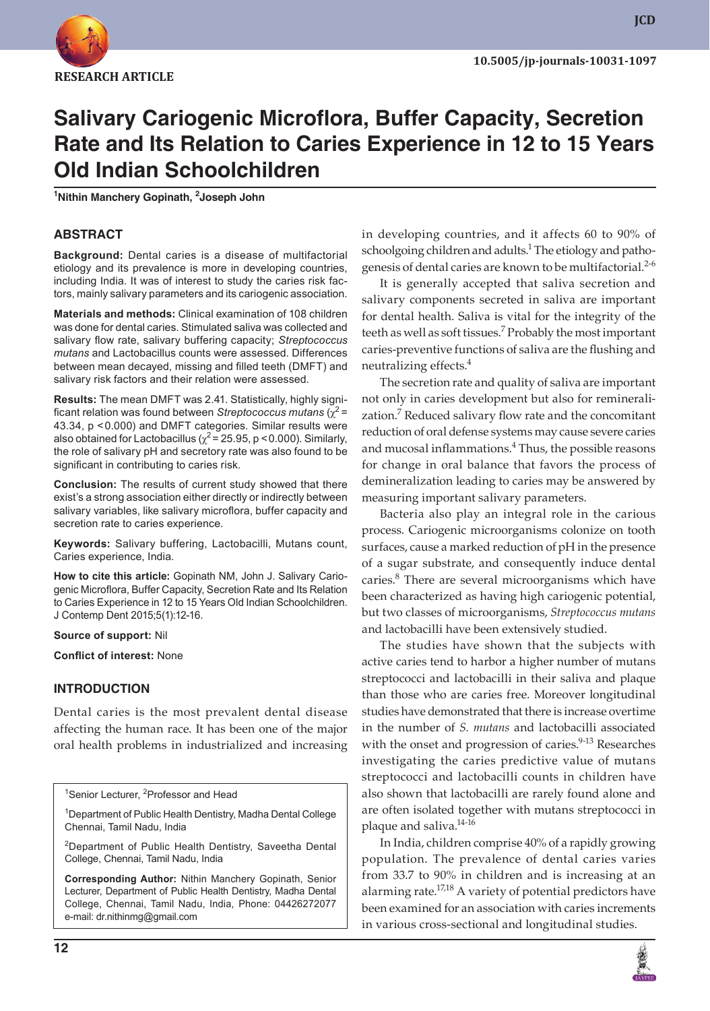

# **Salivary Cariogenic Microflora, Buffer Capacity, Secretion Rate and Its Relation to Caries Experience in 12 to 15 Years Old Indian Schoolchildren**

**1 Nithin Manchery Gopinath, <sup>2</sup> Joseph John**

#### **ABSTRACT**

**Background:** Dental caries is a disease of multifactorial etiology and its prevalence is more in developing countries, including India. It was of interest to study the caries risk factors, mainly salivary parameters and its cariogenic association.

**Materials and methods:** Clinical examination of 108 children was done for dental caries. Stimulated saliva was collected and salivary flow rate, salivary buffering capacity; *Streptococcus mutans* and Lactobacillus counts were assessed. Differences between mean decayed, missing and filled teeth (DMFT) and salivary risk factors and their relation were assessed.

**Results:** The mean DMFT was 2.41. Statistically, highly significant relation was found between *Streptococcus mutans* ( $\chi^2$  = 43.34, p <0.000) and DMFT categories. Similar results were also obtained for Lactobacillus ( $\chi^2$  = 25.95, p < 0.000). Similarly, the role of salivary pH and secretory rate was also found to be significant in contributing to caries risk.

**Conclusion:** The results of current study showed that there exist's a strong association either directly or indirectly between salivary variables, like salivary microflora, buffer capacity and secretion rate to caries experience.

**Keywords:** Salivary buffering, Lactobacilli, Mutans count, Caries experience, India.

**How to cite this article:** Gopinath NM, John J. Salivary Cariogenic Microflora, Buffer Capacity, Secretion Rate and Its Relation to Caries Experience in 12 to 15 Years Old Indian Schoolchildren. J Contemp Dent 2015;5(1):12-16.

#### **Source of support:** Nil

**Conflict of interest:** None

#### **INTRODUCTION**

Dental caries is the most prevalent dental disease affecting the human race. It has been one of the major oral health problems in industrialized and increasing

<sup>1</sup>Senior Lecturer, <sup>2</sup>Professor and Head

<sup>1</sup>Department of Public Health Dentistry, Madha Dental College Chennai, Tamil Nadu, India

<sup>2</sup>Department of Public Health Dentistry, Saveetha Dental College, Chennai, Tamil Nadu, India

**Corresponding Author:** Nithin Manchery Gopinath, Senior Lecturer, Department of Public Health Dentistry, Madha Dental College, Chennai, Tamil Nadu, India, Phone: 04426272077 e-mail: dr.nithinmg@gmail.com

in developing countries, and it affects 60 to 90% of schoolgoing children and adults.<sup>1</sup> The etiology and pathogenesis of dental caries are known to be multifactorial.<sup>2-6</sup>

It is generally accepted that saliva secretion and salivary components secreted in saliva are important for dental health. Saliva is vital for the integrity of the teeth as well as soft tissues.<sup>7</sup> Probably the most important caries-preventive functions of saliva are the flushing and neutralizing effects.<sup>4</sup>

The secretion rate and quality of saliva are important not only in caries development but also for remineralization.<sup>7</sup> Reduced salivary flow rate and the concomitant reduction of oral defense systems may cause severe caries and mucosal inflammations. $4$  Thus, the possible reasons for change in oral balance that favors the process of demineralization leading to caries may be answered by measuring important salivary parameters.

Bacteria also play an integral role in the carious process. Cariogenic microorganisms colonize on tooth surfaces, cause a marked reduction of pH in the presence of a sugar substrate, and consequently induce dental caries.<sup>8</sup> There are several microorganisms which have been characterized as having high cariogenic potential, but two classes of microorganisms, *Streptococcus mutans* and lactobacilli have been extensively studied.

The studies have shown that the subjects with active caries tend to harbor a higher number of mutans streptococci and lactobacilli in their saliva and plaque than those who are caries free. Moreover longitudinal studies have demonstrated that there is increase overtime in the number of *S. mutans* and lactobacilli associated with the onset and progression of caries.<sup>9-13</sup> Researches investigating the caries predictive value of mutans streptococci and lactobacilli counts in children have also shown that lactobacilli are rarely found alone and are often isolated together with mutans streptococci in plaque and saliva.<sup>14-16</sup>

In India, children comprise 40% of a rapidly growing population. The prevalence of dental caries varies from 33.7 to 90% in children and is increasing at an alarming rate.<sup>17,18</sup> A variety of potential predictors have been examined for an association with caries increments in various cross-sectional and longitudinal studies.

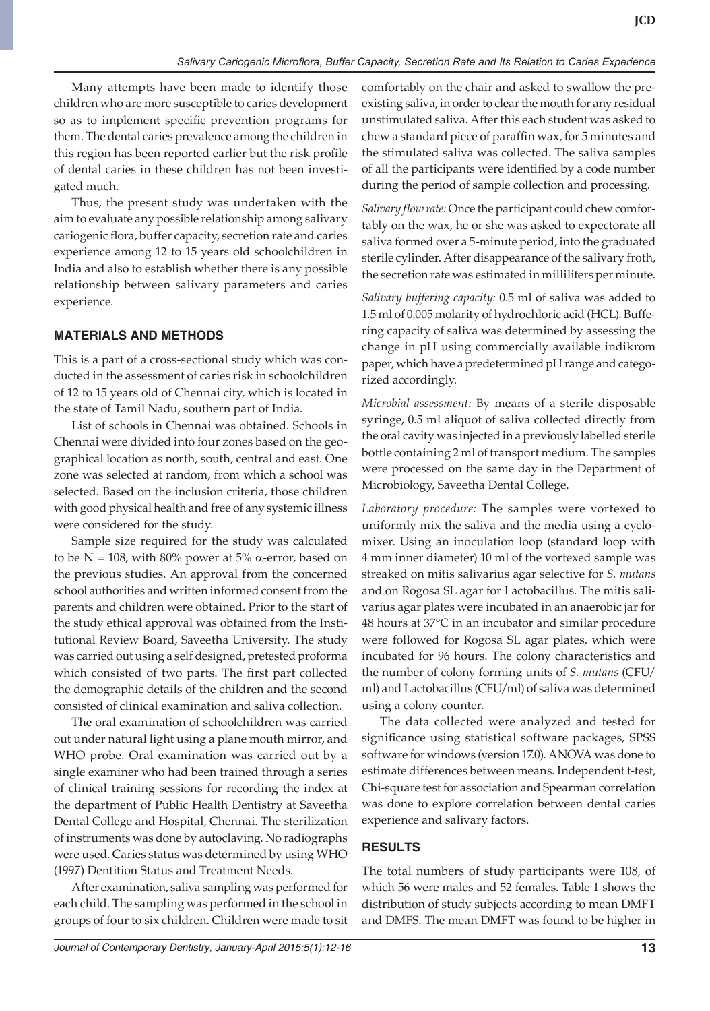Many attempts have been made to identify those children who are more susceptible to caries development so as to implement specific prevention programs for them. The dental caries prevalence among the children in this region has been reported earlier but the risk profile of dental caries in these children has not been investigated much.

Thus, the present study was undertaken with the aim to evaluate any possible relationship among salivary cariogenic flora, buffer capacity, secretion rate and caries experience among 12 to 15 years old schoolchildren in India and also to establish whether there is any possible relationship between salivary parameters and caries experience.

# **MATERIALS AND METHODS**

This is a part of a cross-sectional study which was conducted in the assessment of caries risk in schoolchildren of 12 to 15 years old of Chennai city, which is located in the state of Tamil Nadu, southern part of India.

List of schools in Chennai was obtained. Schools in Chennai were divided into four zones based on the geographical location as north, south, central and east. One zone was selected at random, from which a school was selected. Based on the inclusion criteria, those children with good physical health and free of any systemic illness were considered for the study.

Sample size required for the study was calculated to be  $N = 108$ , with 80% power at 5%  $\alpha$ -error, based on the previous studies. An approval from the concerned school authorities and written informed consent from the parents and children were obtained. Prior to the start of the study ethical approval was obtained from the Institutional Review Board, Saveetha University. The study was carried out using a self designed, pretested proforma which consisted of two parts. The first part collected the demographic details of the children and the second consisted of clinical examination and saliva collection.

The oral examination of schoolchildren was carried out under natural light using a plane mouth mirror, and WHO probe. Oral examination was carried out by a single examiner who had been trained through a series of clinical training sessions for recording the index at the department of Public Health Dentistry at Saveetha Dental College and Hospital, Chennai. The sterilization of instruments was done by autoclaving. No radiographs were used. Caries status was determined by using WHO (1997) Dentition Status and Treatment Needs.

After examination, saliva sampling was performed for each child. The sampling was performed in the school in groups of four to six children. Children were made to sit comfortably on the chair and asked to swallow the preexisting saliva, in order to clear the mouth for any residual unstimulated saliva. After this each student was asked to chew a standard piece of paraffin wax, for 5 minutes and the stimulated saliva was collected. The saliva samples of all the participants were identified by a code number during the period of sample collection and processing.

*Salivary flow rate:* Once the participant could chew comfortably on the wax, he or she was asked to expectorate all saliva formed over a 5-minute period, into the graduated sterile cylinder. After disappearance of the salivary froth, the secretion rate was estimated in milliliters per minute.

*Salivary buffering capacity:* 0.5 ml of saliva was added to 1.5 ml of 0.005 molarity of hydrochloric acid (HCL). Buffering capacity of saliva was determined by assessing the change in pH using commercially available indikrom paper, which have a predetermined pH range and categorized accordingly.

*Microbial assessment:* By means of a sterile disposable syringe, 0.5 ml aliquot of saliva collected directly from the oral cavity was injected in a previously labelled sterile bottle containing 2 ml of transport medium. The samples were processed on the same day in the Department of Microbiology, Saveetha Dental College.

*Laboratory procedure:* The samples were vortexed to uniformly mix the saliva and the media using a cyclomixer. Using an inoculation loop (standard loop with 4 mm inner diameter) 10 ml of the vortexed sample was streaked on mitis salivarius agar selective for *S. mutans* and on Rogosa SL agar for Lactobacillus. The mitis salivarius agar plates were incubated in an anaerobic jar for 48 hours at 37°C in an incubator and similar procedure were followed for Rogosa SL agar plates, which were incubated for 96 hours. The colony characteristics and the number of colony forming units of *S. mutans* (CFU/ ml) and Lactobacillus (CFU/ml) of saliva was determined using a colony counter.

The data collected were analyzed and tested for significance using statistical software packages, SPSS software for windows (version 17.0). ANOVA was done to estimate differences between means. Independent t-test, Chi-square test for association and Spearman correlation was done to explore correlation between dental caries experience and salivary factors.

# **RESULTS**

The total numbers of study participants were 108, of which 56 were males and 52 females. Table 1 shows the distribution of study subjects according to mean DMFT and DMFS. The mean DMFT was found to be higher in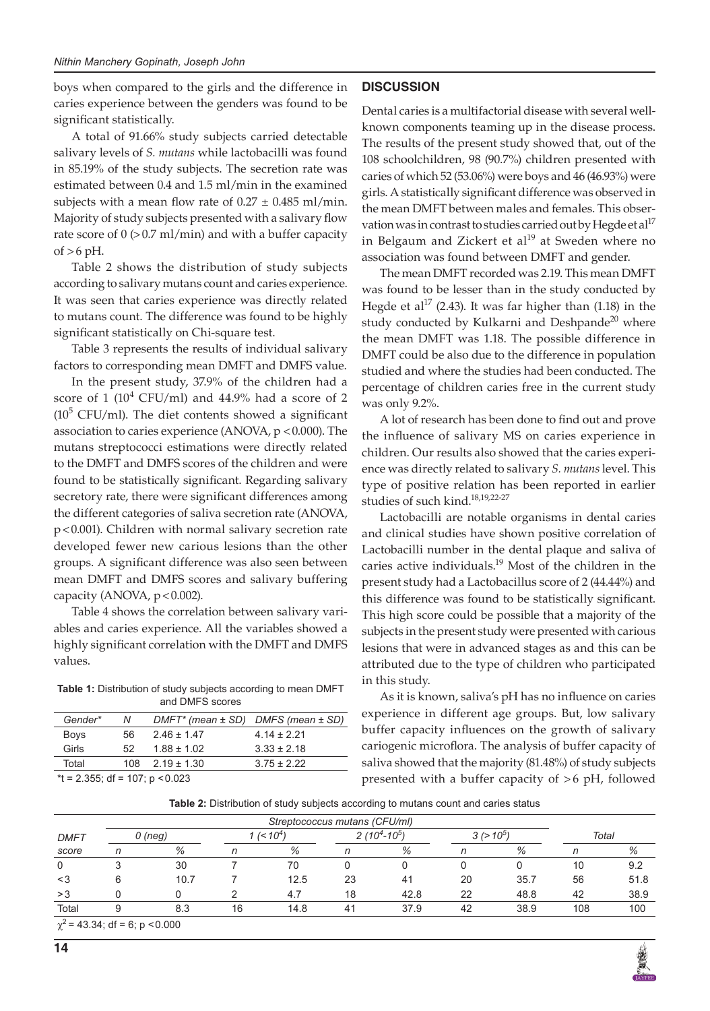boys when compared to the girls and the difference in caries experience between the genders was found to be significant statistically.

A total of 91.66% study subjects carried detectable salivary levels of *S. mutans* while lactobacilli was found in 85.19% of the study subjects. The secretion rate was estimated between 0.4 and 1.5 ml/min in the examined subjects with a mean flow rate of  $0.27 \pm 0.485$  ml/min. Majority of study subjects presented with a salivary flow rate score of  $0$  ( $> 0.7$  ml/min) and with a buffer capacity of  $>6$  pH.

Table 2 shows the distribution of study subjects according to salivary mutans count and caries experience. It was seen that caries experience was directly related to mutans count. The difference was found to be highly significant statistically on Chi-square test.

Table 3 represents the results of individual salivary factors to corresponding mean DMFT and DMFS value.

In the present study, 37.9% of the children had a score of 1 ( $10^4$  CFU/ml) and 44.9% had a score of 2  $(10<sup>5</sup> CFU/ml)$ . The diet contents showed a significant association to caries experience (ANOVA,  $p < 0.000$ ). The mutans streptococci estimations were directly related to the DMFT and DMFS scores of the children and were found to be statistically significant. Regarding salivary secretory rate, there were significant differences among the different categories of saliva secretion rate (ANOVA, p<0.001). Children with normal salivary secretion rate developed fewer new carious lesions than the other groups. A significant difference was also seen between mean DMFT and DMFS scores and salivary buffering capacity (ANOVA,  $p < 0.002$ ).

Table 4 shows the correlation between salivary variables and caries experience. All the variables showed a highly significant correlation with the DMFT and DMFS values.

**Table 1:** Distribution of study subjects according to mean DMFT and DMFS scores

| Gender*                           | Ν   | $DMFT^*$ (mean $\pm$ SD) DMFS (mean $\pm$ SD) |                 |  |  |
|-----------------------------------|-----|-----------------------------------------------|-----------------|--|--|
| <b>Boys</b>                       | 56. | $2.46 \pm 1.47$                               | $4.14 + 2.21$   |  |  |
| Girls                             | 52. | $1.88 + 1.02$                                 | $3.33 \pm 2.18$ |  |  |
| Total                             |     | $108$ $2.19 + 1.30$                           | $3.75 + 2.22$   |  |  |
| $*1 - 2.355$ df - 107 $n < 0.023$ |     |                                               |                 |  |  |

 $2.355$ ; df = 107; p  $<0.023$ 

### **DISCUSSION**

Dental caries is a multifactorial disease with several wellknown components teaming up in the disease process. The results of the present study showed that, out of the 108 schoolchildren, 98 (90.7%) children presented with caries of which 52 (53.06%) were boys and 46 (46.93%) were girls. A statistically significant difference was observed in the mean DMFT between males and females. This observation was in contrast to studies carried out by Hegde et al<sup>17</sup> in Belgaum and Zickert et  $al^{19}$  at Sweden where no association was found between DMFT and gender.

The mean DMFT recorded was 2.19. This mean DMFT was found to be lesser than in the study conducted by Hegde et al<sup>17</sup> (2.43). It was far higher than (1.18) in the study conducted by Kulkarni and Deshpande<sup>20</sup> where the mean DMFT was 1.18. The possible difference in DMFT could be also due to the difference in population studied and where the studies had been conducted. The percentage of children caries free in the current study was only 9.2%.

A lot of research has been done to find out and prove the influence of salivary MS on caries experience in children. Our results also showed that the caries experience was directly related to salivary *S. mutans* level. This type of positive relation has been reported in earlier studies of such kind.<sup>18,19,22-27</sup>

Lactobacilli are notable organisms in dental caries and clinical studies have shown positive correlation of Lactobacilli number in the dental plaque and saliva of caries active individuals.<sup>19</sup> Most of the children in the present study had a Lactobacillus score of 2 (44.44%) and this difference was found to be statistically significant. This high score could be possible that a majority of the subjects in the present study were presented with carious lesions that were in advanced stages as and this can be attributed due to the type of children who participated in this study.

As it is known, saliva's pH has no influence on caries experience in different age groups. But, low salivary buffer capacity influences on the growth of salivary cariogenic microflora. The analysis of buffer capacity of saliva showed that the majority (81.48%) of study subjects presented with a buffer capacity of >6 pH, followed

**Table 2:** Distribution of study subjects according to mutans count and caries status

|                |                                     |         |    | Streptococcus mutans (CFU/ml) |    |                  |    |            |     |       |  |
|----------------|-------------------------------------|---------|----|-------------------------------|----|------------------|----|------------|-----|-------|--|
| <b>DMFT</b>    |                                     | 0 (neg) |    | $($ < 10 <sup>4</sup>         |    | $2(10^4 - 10^5)$ |    | $3(>10^5)$ |     | Total |  |
| score          |                                     | %       |    | %                             |    | %                |    | %          |     | %     |  |
| $\overline{0}$ |                                     | 30      |    | 70                            |    |                  |    |            | 10  | 9.2   |  |
| -3             | 6                                   | 10.7    |    | 12.5                          | 23 | 41               | 20 | 35.7       | 56  | 51.8  |  |
| >3             |                                     |         |    | 4.7                           | 18 | 42.8             | 22 | 48.8       | 42  | 38.9  |  |
| Total          | 9                                   | 8.3     | 16 | 14.8                          | 41 | 37.9             | 42 | 38.9       | 108 | 100   |  |
|                | $\chi^2$ = 43.34; df = 6; p < 0.000 |         |    |                               |    |                  |    |            |     |       |  |

**14**

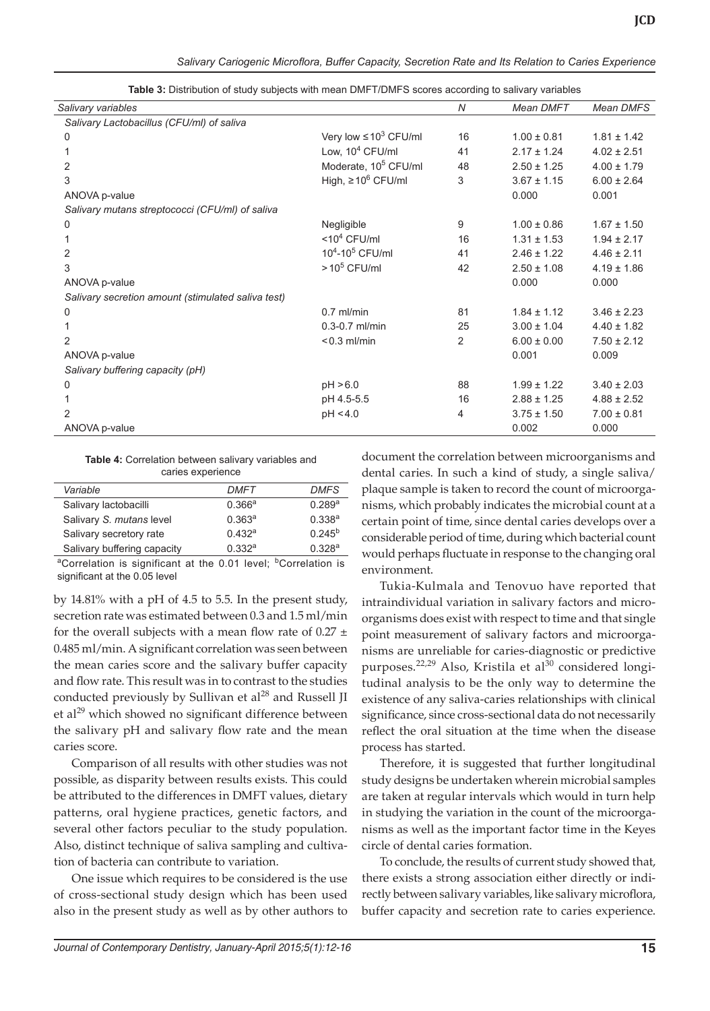| Salivary variables                                 |                                  | $\overline{N}$ | Mean DMFT       | <b>Mean DMFS</b> |
|----------------------------------------------------|----------------------------------|----------------|-----------------|------------------|
| Salivary Lactobacillus (CFU/ml) of saliva          |                                  |                |                 |                  |
| 0                                                  | Very low $\leq 10^3$ CFU/ml      | 16             | $1.00 \pm 0.81$ | $1.81 \pm 1.42$  |
|                                                    | Low, $10^4$ CFU/ml               | 41             | $2.17 \pm 1.24$ | $4.02 \pm 2.51$  |
| 2                                                  | Moderate, 10 <sup>5</sup> CFU/ml | 48             | $2.50 \pm 1.25$ | $4.00 \pm 1.79$  |
| 3                                                  | High, $\geq 10^6$ CFU/ml         | 3              | $3.67 \pm 1.15$ | $6.00 \pm 2.64$  |
| ANOVA p-value                                      |                                  |                | 0.000           | 0.001            |
| Salivary mutans streptococci (CFU/ml) of saliva    |                                  |                |                 |                  |
| 0                                                  | Negligible                       | 9              | $1.00 \pm 0.86$ | $1.67 \pm 1.50$  |
|                                                    | $<$ 10 <sup>4</sup> CFU/ml       | 16             | $1.31 \pm 1.53$ | $1.94 \pm 2.17$  |
| 2                                                  | $10^4 - 10^5$ CFU/ml             | 41             | $2.46 \pm 1.22$ | $4.46 \pm 2.11$  |
| 3                                                  | $>10^5$ CFU/ml                   | 42             | $2.50 \pm 1.08$ | $4.19 \pm 1.86$  |
| ANOVA p-value                                      |                                  |                | 0.000           | 0.000            |
| Salivary secretion amount (stimulated saliva test) |                                  |                |                 |                  |
| 0                                                  | $0.7$ ml/min                     | 81             | $1.84 \pm 1.12$ | $3.46 \pm 2.23$  |
|                                                    | $0.3 - 0.7$ ml/min               | 25             | $3.00 \pm 1.04$ | $4.40 \pm 1.82$  |
| 2                                                  | $< 0.3$ ml/min                   | $\overline{2}$ | $6.00 \pm 0.00$ | $7.50 \pm 2.12$  |
| ANOVA p-value                                      |                                  |                | 0.001           | 0.009            |
| Salivary buffering capacity (pH)                   |                                  |                |                 |                  |
| 0                                                  | pH > 6.0                         | 88             | $1.99 \pm 1.22$ | $3.40 \pm 2.03$  |
|                                                    | pH 4.5-5.5                       | 16             | $2.88 \pm 1.25$ | $4.88 \pm 2.52$  |
| 2                                                  | pH < 4.0                         | 4              | $3.75 \pm 1.50$ | $7.00 \pm 0.81$  |
| ANOVA p-value                                      |                                  |                | 0.002           | 0.000            |

**Table 3:** Distribution of study subjects with mean DMFT/DMFS scores according to salivary variables

**Table 4:** Correlation between salivary variables and caries experience

| Variable                    | DMFT      | <b>DMFS</b>        |
|-----------------------------|-----------|--------------------|
| Salivary lactobacilli       | 0.366a    | 0.289a             |
| Salivary S. mutans level    | $0.363^a$ | $0.338^{a}$        |
| Salivary secretory rate     | 0.432a    | $0.245^{b}$        |
| Salivary buffering capacity | 0.332a    | 0.328 <sup>a</sup> |
|                             |           |                    |

<sup>a</sup>Correlation is significant at the 0.01 level; <sup>b</sup>Correlation is significant at the 0.05 level

by 14.81% with a pH of 4.5 to 5.5. In the present study, secretion rate was estimated between 0.3 and 1.5 ml/min for the overall subjects with a mean flow rate of  $0.27 \pm$ 0.485 ml/min. A significant correlation was seen between the mean caries score and the salivary buffer capacity and flow rate. This result was in to contrast to the studies conducted previously by Sullivan et  $al^{28}$  and Russell JI et al<sup>29</sup> which showed no significant difference between the salivary pH and salivary flow rate and the mean caries score.

Comparison of all results with other studies was not possible, as disparity between results exists. This could be attributed to the differences in DMFT values, dietary patterns, oral hygiene practices, genetic factors, and several other factors peculiar to the study population. Also, distinct technique of saliva sampling and cultivation of bacteria can contribute to variation.

One issue which requires to be considered is the use of cross-sectional study design which has been used also in the present study as well as by other authors to document the correlation between microorganisms and dental caries. In such a kind of study, a single saliva/ plaque sample is taken to record the count of microorganisms, which probably indicates the microbial count at a certain point of time, since dental caries develops over a considerable period of time, during which bacterial count would perhaps fluctuate in response to the changing oral environment.

Tukia-Kulmala and Tenovuo have reported that intraindividual variation in salivary factors and microorganisms does exist with respect to time and that single point measurement of salivary factors and microorganisms are unreliable for caries-diagnostic or predictive purposes.<sup>22,29</sup> Also, Kristila et al<sup>30</sup> considered longitudinal analysis to be the only way to determine the existence of any saliva-caries relationships with clinical significance, since cross-sectional data do not necessarily reflect the oral situation at the time when the disease process has started.

Therefore, it is suggested that further longitudinal study designs be undertaken wherein microbial samples are taken at regular intervals which would in turn help in studying the variation in the count of the microorganisms as well as the important factor time in the Keyes circle of dental caries formation.

To conclude, the results of current study showed that, there exists a strong association either directly or indirectly between salivary variables, like salivary microflora, buffer capacity and secretion rate to caries experience.